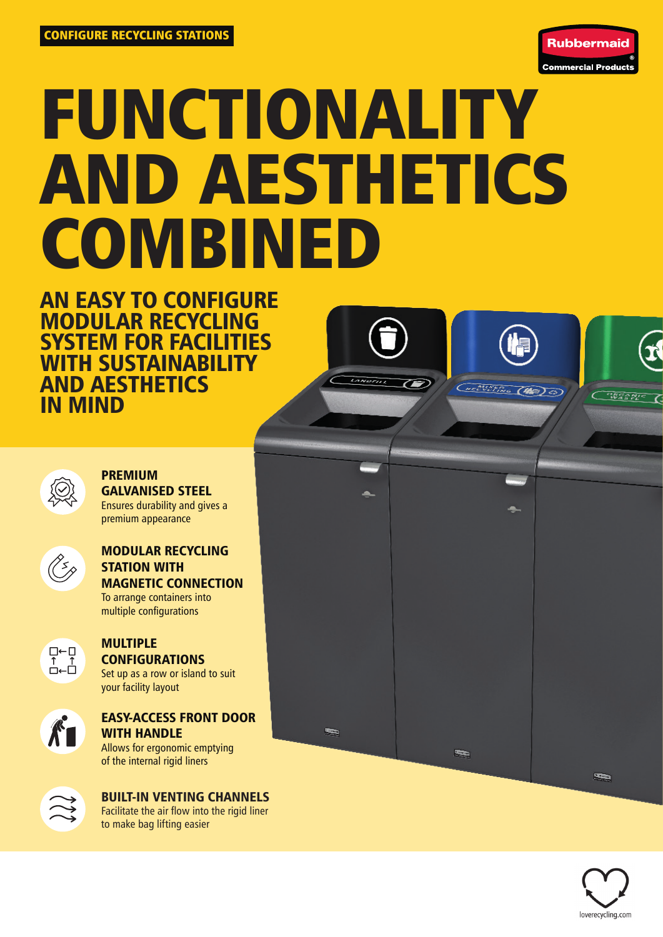

# FUNCTIONALITY AND AESTHETICS **COMBINED**

AN EASY TO CONFIGURE MODULAR RECYCLING SYSTEM FOR FACILITIES WITH SUSTAINABILITY AND AESTHETICS IN MIND



# PREMIUM GALVANISED STEEL

Ensures durability and gives a premium appearance



#### MODULAR RECYCLING STATION WITH MAGNETIC CONNECTION To arrange containers into multiple configurations



#### MULTIPLE CONFIGURATIONS Set up as a row or island to suit

your facility layout



## EASY-ACCESS FRONT DOOR WITH HANDLE

Allows for ergonomic emptying of the internal rigid liners



BUILT-IN VENTING CHANNELS Facilitate the air flow into the rigid liner to make bag lifting easier



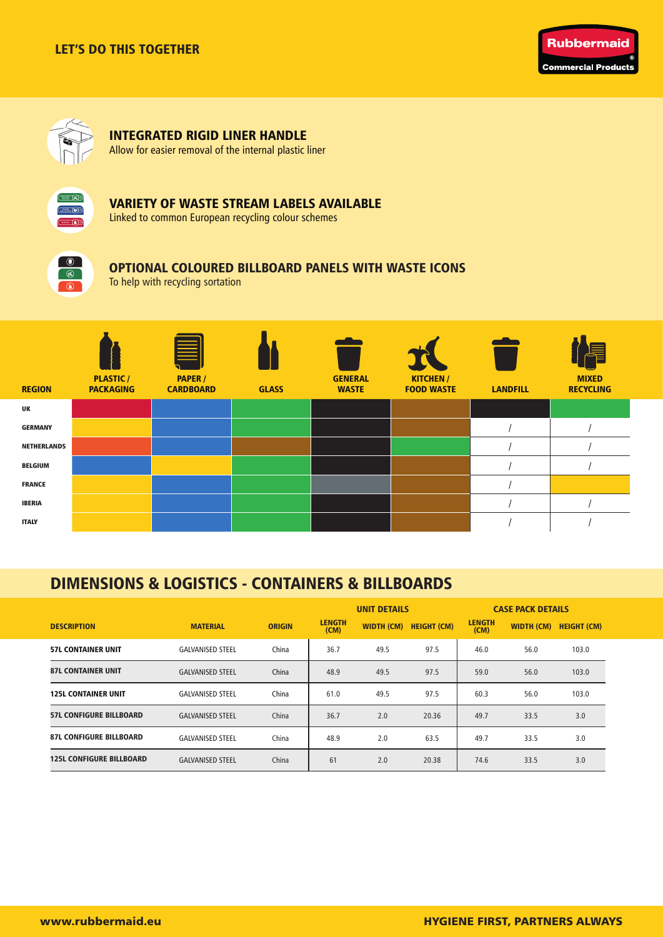



# INTEGRATED RIGID LINER HANDLE

Allow for easier removal of the internal plastic liner



#### VARIETY OF WASTE STREAM LABELS AVAILABLE

Linked to common European recycling colour schemes



### OPTIONAL COLOURED BILLBOARD PANELS WITH WASTE ICONS

To help with recycling sortation



# DIMENSIONS & LOGISTICS - CONTAINERS & BILLBOARDS

|                                 |                         |               | <b>UNIT DETAILS</b>   |                   |                    | <b>CASE PACK DETAILS</b> |            |                    |  |
|---------------------------------|-------------------------|---------------|-----------------------|-------------------|--------------------|--------------------------|------------|--------------------|--|
| <b>DESCRIPTION</b>              | <b>MATERIAL</b>         | <b>ORIGIN</b> | <b>LENGTH</b><br>(CM) | <b>WIDTH (CM)</b> | <b>HEIGHT (CM)</b> | <b>LENGTH</b><br>(CM)    | WIDTH (CM) | <b>HEIGHT (CM)</b> |  |
| <b>57L CONTAINER UNIT</b>       | <b>GALVANISED STEEL</b> | China         | 36.7                  | 49.5              | 97.5               | 46.0                     | 56.0       | 103.0              |  |
| <b>87L CONTAINER UNIT</b>       | <b>GALVANISED STEEL</b> | China         | 48.9                  | 49.5              | 97.5               | 59.0                     | 56.0       | 103.0              |  |
| <b>125L CONTAINER UNIT</b>      | <b>GALVANISED STEEL</b> | China         | 61.0                  | 49.5              | 97.5               | 60.3                     | 56.0       | 103.0              |  |
| <b>57L CONFIGURE BILLBOARD</b>  | <b>GALVANISED STEEL</b> | China         | 36.7                  | 2.0               | 20.36              | 49.7                     | 33.5       | 3.0                |  |
| <b>87L CONFIGURE BILLBOARD</b>  | <b>GALVANISED STEEL</b> | China         | 48.9                  | 2.0               | 63.5               | 49.7                     | 33.5       | 3.0                |  |
| <b>125L CONFIGURE BILLBOARD</b> | <b>GALVANISED STEEL</b> | China         | 61                    | 2.0               | 20.38              | 74.6                     | 33.5       | 3.0                |  |